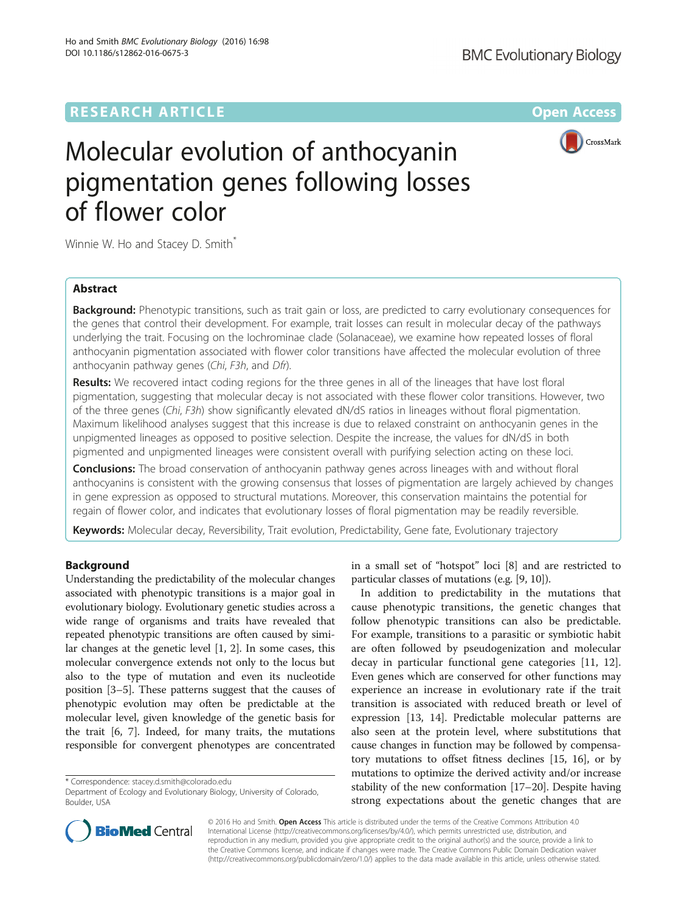# **RESEARCH ARTICLE Example 2014 12:30 The Contract of Contract ACCESS**



# Molecular evolution of anthocyanin pigmentation genes following losses of flower color

Winnie W. Ho and Stacey D. Smith\*

## Abstract

**Background:** Phenotypic transitions, such as trait gain or loss, are predicted to carry evolutionary consequences for the genes that control their development. For example, trait losses can result in molecular decay of the pathways underlying the trait. Focusing on the Iochrominae clade (Solanaceae), we examine how repeated losses of floral anthocyanin pigmentation associated with flower color transitions have affected the molecular evolution of three anthocyanin pathway genes (Chi, F3h, and Dfr).

Results: We recovered intact coding regions for the three genes in all of the lineages that have lost floral pigmentation, suggesting that molecular decay is not associated with these flower color transitions. However, two of the three genes (Chi, F3h) show significantly elevated dN/dS ratios in lineages without floral pigmentation. Maximum likelihood analyses suggest that this increase is due to relaxed constraint on anthocyanin genes in the unpigmented lineages as opposed to positive selection. Despite the increase, the values for dN/dS in both pigmented and unpigmented lineages were consistent overall with purifying selection acting on these loci.

**Conclusions:** The broad conservation of anthocyanin pathway genes across lineages with and without floral anthocyanins is consistent with the growing consensus that losses of pigmentation are largely achieved by changes in gene expression as opposed to structural mutations. Moreover, this conservation maintains the potential for regain of flower color, and indicates that evolutionary losses of floral pigmentation may be readily reversible.

Keywords: Molecular decay, Reversibility, Trait evolution, Predictability, Gene fate, Evolutionary trajectory

#### Background

Understanding the predictability of the molecular changes associated with phenotypic transitions is a major goal in evolutionary biology. Evolutionary genetic studies across a wide range of organisms and traits have revealed that repeated phenotypic transitions are often caused by similar changes at the genetic level [1, 2]. In some cases, this molecular convergence extends not only to the locus but also to the type of mutation and even its nucleotide position [3–5]. These patterns suggest that the causes of phenotypic evolution may often be predictable at the molecular level, given knowledge of the genetic basis for the trait [6, 7]. Indeed, for many traits, the mutations responsible for convergent phenotypes are concentrated

\* Correspondence: [stacey.d.smith@colorado.edu](mailto:stacey.d.smith@colorado.edu)

in a small set of "hotspot" loci [8] and are restricted to particular classes of mutations (e.g. [9, 10]).

In addition to predictability in the mutations that cause phenotypic transitions, the genetic changes that follow phenotypic transitions can also be predictable. For example, transitions to a parasitic or symbiotic habit are often followed by pseudogenization and molecular decay in particular functional gene categories [11, 12]. Even genes which are conserved for other functions may experience an increase in evolutionary rate if the trait transition is associated with reduced breath or level of expression [13, 14]. Predictable molecular patterns are also seen at the protein level, where substitutions that cause changes in function may be followed by compensatory mutations to offset fitness declines [15, 16], or by mutations to optimize the derived activity and/or increase stability of the new conformation [17–20]. Despite having strong expectations about the genetic changes that are



© 2016 Ho and Smith. Open Access This article is distributed under the terms of the Creative Commons Attribution 4.0 International License [\(http://creativecommons.org/licenses/by/4.0/](http://creativecommons.org/licenses/by/4.0/)), which permits unrestricted use, distribution, and reproduction in any medium, provided you give appropriate credit to the original author(s) and the source, provide a link to the Creative Commons license, and indicate if changes were made. The Creative Commons Public Domain Dedication waiver [\(http://creativecommons.org/publicdomain/zero/1.0/](http://creativecommons.org/publicdomain/zero/1.0/)) applies to the data made available in this article, unless otherwise stated.

Department of Ecology and Evolutionary Biology, University of Colorado, Boulder, USA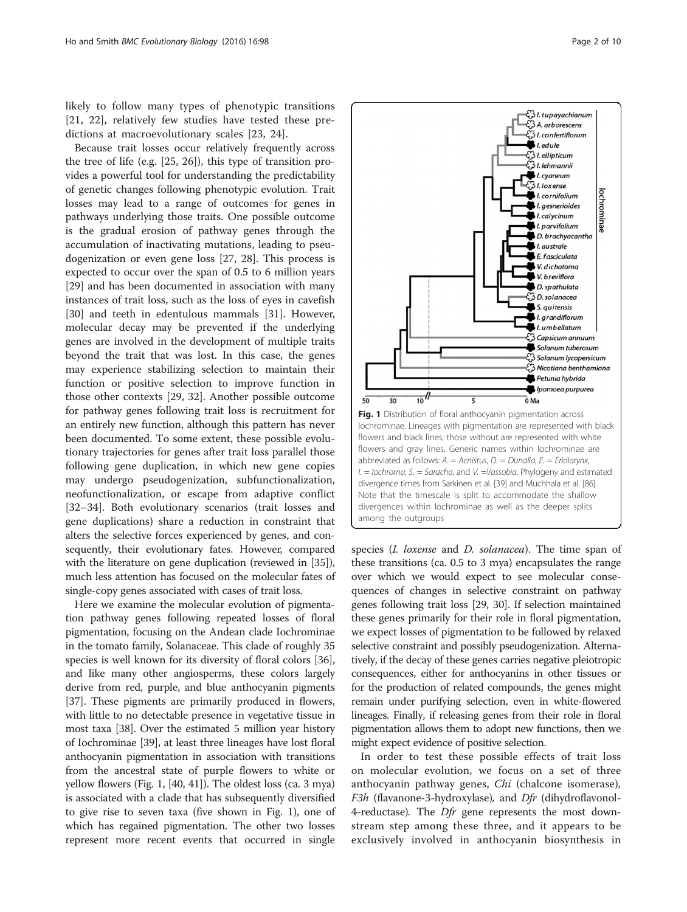likely to follow many types of phenotypic transitions [21, 22], relatively few studies have tested these predictions at macroevolutionary scales [23, 24].

Because trait losses occur relatively frequently across the tree of life (e.g. [25, 26]), this type of transition provides a powerful tool for understanding the predictability of genetic changes following phenotypic evolution. Trait losses may lead to a range of outcomes for genes in pathways underlying those traits. One possible outcome is the gradual erosion of pathway genes through the accumulation of inactivating mutations, leading to pseudogenization or even gene loss [27, 28]. This process is expected to occur over the span of 0.5 to 6 million years [29] and has been documented in association with many instances of trait loss, such as the loss of eyes in cavefish [30] and teeth in edentulous mammals [31]. However, molecular decay may be prevented if the underlying genes are involved in the development of multiple traits beyond the trait that was lost. In this case, the genes may experience stabilizing selection to maintain their function or positive selection to improve function in those other contexts [29, 32]. Another possible outcome for pathway genes following trait loss is recruitment for an entirely new function, although this pattern has never been documented. To some extent, these possible evolutionary trajectories for genes after trait loss parallel those following gene duplication, in which new gene copies may undergo pseudogenization, subfunctionalization, neofunctionalization, or escape from adaptive conflict [32–34]. Both evolutionary scenarios (trait losses and gene duplications) share a reduction in constraint that alters the selective forces experienced by genes, and consequently, their evolutionary fates. However, compared with the literature on gene duplication (reviewed in [35]), much less attention has focused on the molecular fates of single-copy genes associated with cases of trait loss.

Here we examine the molecular evolution of pigmentation pathway genes following repeated losses of floral pigmentation, focusing on the Andean clade Iochrominae in the tomato family, Solanaceae. This clade of roughly 35 species is well known for its diversity of floral colors [36], and like many other angiosperms, these colors largely derive from red, purple, and blue anthocyanin pigments [37]. These pigments are primarily produced in flowers, with little to no detectable presence in vegetative tissue in most taxa [38]. Over the estimated 5 million year history of Iochrominae [39], at least three lineages have lost floral anthocyanin pigmentation in association with transitions from the ancestral state of purple flowers to white or yellow flowers (Fig. 1, [40, 41]). The oldest loss (ca. 3 mya) is associated with a clade that has subsequently diversified to give rise to seven taxa (five shown in Fig. 1), one of which has regained pigmentation. The other two losses represent more recent events that occurred in single



Solanum tuberosum <sup>က</sup> Solanum lycopersicum <sup>င့</sup>်3 Nicotiana benthamiana



species (*I. loxense* and *D. solanacea*). The time span of these transitions (ca. 0.5 to 3 mya) encapsulates the range over which we would expect to see molecular consequences of changes in selective constraint on pathway genes following trait loss [29, 30]. If selection maintained these genes primarily for their role in floral pigmentation, we expect losses of pigmentation to be followed by relaxed selective constraint and possibly pseudogenization. Alternatively, if the decay of these genes carries negative pleiotropic consequences, either for anthocyanins in other tissues or for the production of related compounds, the genes might remain under purifying selection, even in white-flowered lineages. Finally, if releasing genes from their role in floral pigmentation allows them to adopt new functions, then we might expect evidence of positive selection.

In order to test these possible effects of trait loss on molecular evolution, we focus on a set of three anthocyanin pathway genes, Chi (chalcone isomerase), *F3h* (flavanone-3-hydroxylase), and  $Dfr$  (dihydroflavonol-4-reductase). The *Dfr* gene represents the most downstream step among these three, and it appears to be exclusively involved in anthocyanin biosynthesis in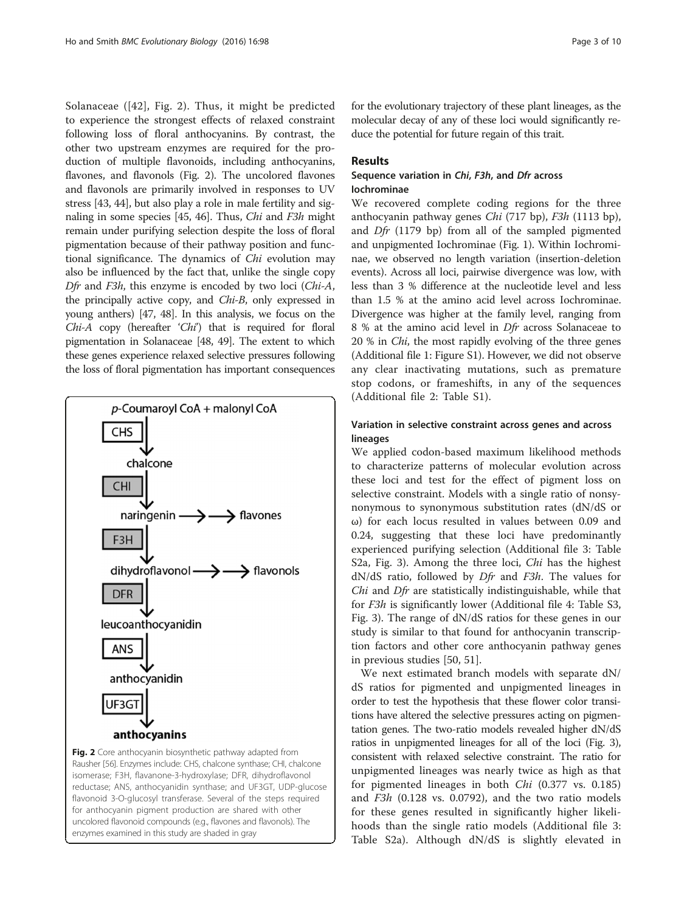Solanaceae ([42], Fig. 2). Thus, it might be predicted to experience the strongest effects of relaxed constraint following loss of floral anthocyanins. By contrast, the other two upstream enzymes are required for the production of multiple flavonoids, including anthocyanins, flavones, and flavonols (Fig. 2). The uncolored flavones and flavonols are primarily involved in responses to UV stress [43, 44], but also play a role in male fertility and signaling in some species [45, 46]. Thus, Chi and F3h might remain under purifying selection despite the loss of floral pigmentation because of their pathway position and functional significance. The dynamics of Chi evolution may also be influenced by the fact that, unlike the single copy Dfr and F3h, this enzyme is encoded by two loci (Chi-A, the principally active copy, and Chi-B, only expressed in young anthers) [47, 48]. In this analysis, we focus on the Chi-A copy (hereafter 'Chi') that is required for floral pigmentation in Solanaceae [48, 49]. The extent to which these genes experience relaxed selective pressures following the loss of floral pigmentation has important consequences



for the evolutionary trajectory of these plant lineages, as the molecular decay of any of these loci would significantly reduce the potential for future regain of this trait.

#### Results

#### Sequence variation in Chi, F3h, and Dfr across Iochrominae

We recovered complete coding regions for the three anthocyanin pathway genes Chi (717 bp), F3h (1113 bp), and Dfr (1179 bp) from all of the sampled pigmented and unpigmented Iochrominae (Fig. 1). Within Iochrominae, we observed no length variation (insertion-deletion events). Across all loci, pairwise divergence was low, with less than 3 % difference at the nucleotide level and less than 1.5 % at the amino acid level across Iochrominae. Divergence was higher at the family level, ranging from 8 % at the amino acid level in Dfr across Solanaceae to 20 % in Chi, the most rapidly evolving of the three genes (Additional file 1: Figure S1). However, we did not observe any clear inactivating mutations, such as premature stop codons, or frameshifts, in any of the sequences (Additional file 2: Table S1).

#### Variation in selective constraint across genes and across lineages

We applied codon-based maximum likelihood methods to characterize patterns of molecular evolution across these loci and test for the effect of pigment loss on selective constraint. Models with a single ratio of nonsynonymous to synonymous substitution rates (dN/dS or ω) for each locus resulted in values between 0.09 and 0.24, suggesting that these loci have predominantly experienced purifying selection (Additional file 3: Table S2a, Fig. 3). Among the three loci, Chi has the highest  $dN/dS$  ratio, followed by  $Dfr$  and F3h. The values for Chi and Dfr are statistically indistinguishable, while that for F3h is significantly lower (Additional file 4: Table S3, Fig. 3). The range of dN/dS ratios for these genes in our study is similar to that found for anthocyanin transcription factors and other core anthocyanin pathway genes in previous studies [50, 51].

We next estimated branch models with separate dN/ dS ratios for pigmented and unpigmented lineages in order to test the hypothesis that these flower color transitions have altered the selective pressures acting on pigmentation genes. The two-ratio models revealed higher dN/dS ratios in unpigmented lineages for all of the loci (Fig. 3), consistent with relaxed selective constraint. The ratio for unpigmented lineages was nearly twice as high as that for pigmented lineages in both Chi (0.377 vs. 0.185) and F3h (0.128 vs. 0.0792), and the two ratio models for these genes resulted in significantly higher likelihoods than the single ratio models (Additional file 3: Table S2a). Although dN/dS is slightly elevated in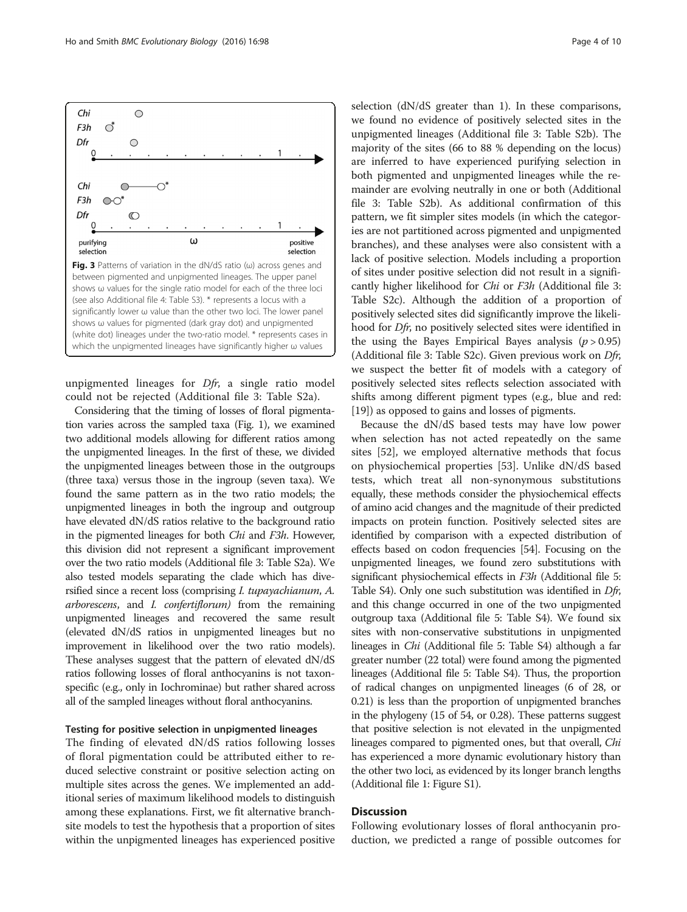

unpigmented lineages for Dfr, a single ratio model could not be rejected (Additional file 3: Table S2a).

Considering that the timing of losses of floral pigmentation varies across the sampled taxa (Fig. 1), we examined two additional models allowing for different ratios among the unpigmented lineages. In the first of these, we divided the unpigmented lineages between those in the outgroups (three taxa) versus those in the ingroup (seven taxa). We found the same pattern as in the two ratio models; the unpigmented lineages in both the ingroup and outgroup have elevated dN/dS ratios relative to the background ratio in the pigmented lineages for both Chi and F3h. However, this division did not represent a significant improvement over the two ratio models (Additional file 3: Table S2a). We also tested models separating the clade which has diversified since a recent loss (comprising I. tupayachianum, A. arborescens, and I. confertiflorum) from the remaining unpigmented lineages and recovered the same result (elevated dN/dS ratios in unpigmented lineages but no improvement in likelihood over the two ratio models). These analyses suggest that the pattern of elevated dN/dS ratios following losses of floral anthocyanins is not taxonspecific (e.g., only in Iochrominae) but rather shared across all of the sampled lineages without floral anthocyanins.

#### Testing for positive selection in unpigmented lineages

The finding of elevated dN/dS ratios following losses of floral pigmentation could be attributed either to reduced selective constraint or positive selection acting on multiple sites across the genes. We implemented an additional series of maximum likelihood models to distinguish among these explanations. First, we fit alternative branchsite models to test the hypothesis that a proportion of sites within the unpigmented lineages has experienced positive selection (dN/dS greater than 1). In these comparisons, we found no evidence of positively selected sites in the unpigmented lineages (Additional file 3: Table S2b). The majority of the sites (66 to 88 % depending on the locus) are inferred to have experienced purifying selection in both pigmented and unpigmented lineages while the remainder are evolving neutrally in one or both (Additional file 3: Table S2b). As additional confirmation of this pattern, we fit simpler sites models (in which the categories are not partitioned across pigmented and unpigmented branches), and these analyses were also consistent with a lack of positive selection. Models including a proportion of sites under positive selection did not result in a significantly higher likelihood for Chi or F3h (Additional file 3: Table S2c). Although the addition of a proportion of positively selected sites did significantly improve the likelihood for Dfr, no positively selected sites were identified in the using the Bayes Empirical Bayes analysis  $(p > 0.95)$ (Additional file 3: Table S2c). Given previous work on Dfr, we suspect the better fit of models with a category of positively selected sites reflects selection associated with shifts among different pigment types (e.g., blue and red: [19]) as opposed to gains and losses of pigments.

Because the dN/dS based tests may have low power when selection has not acted repeatedly on the same sites [52], we employed alternative methods that focus on physiochemical properties [53]. Unlike dN/dS based tests, which treat all non-synonymous substitutions equally, these methods consider the physiochemical effects of amino acid changes and the magnitude of their predicted impacts on protein function. Positively selected sites are identified by comparison with a expected distribution of effects based on codon frequencies [54]. Focusing on the unpigmented lineages, we found zero substitutions with significant physiochemical effects in F3h (Additional file 5: Table S4). Only one such substitution was identified in Dfr, and this change occurred in one of the two unpigmented outgroup taxa (Additional file 5: Table S4). We found six sites with non-conservative substitutions in unpigmented lineages in Chi (Additional file 5: Table S4) although a far greater number (22 total) were found among the pigmented lineages (Additional file 5: Table S4). Thus, the proportion of radical changes on unpigmented lineages (6 of 28, or 0.21) is less than the proportion of unpigmented branches in the phylogeny (15 of 54, or 0.28). These patterns suggest that positive selection is not elevated in the unpigmented lineages compared to pigmented ones, but that overall, Chi has experienced a more dynamic evolutionary history than the other two loci, as evidenced by its longer branch lengths (Additional file 1: Figure S1).

### **Discussion**

Following evolutionary losses of floral anthocyanin production, we predicted a range of possible outcomes for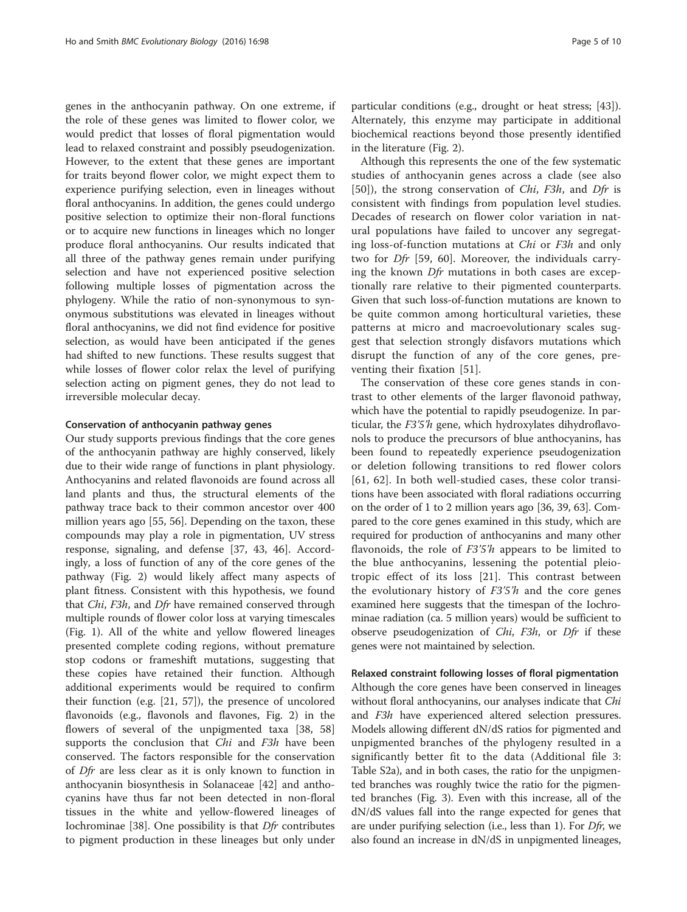genes in the anthocyanin pathway. On one extreme, if the role of these genes was limited to flower color, we would predict that losses of floral pigmentation would lead to relaxed constraint and possibly pseudogenization. However, to the extent that these genes are important for traits beyond flower color, we might expect them to experience purifying selection, even in lineages without floral anthocyanins. In addition, the genes could undergo positive selection to optimize their non-floral functions or to acquire new functions in lineages which no longer produce floral anthocyanins. Our results indicated that all three of the pathway genes remain under purifying selection and have not experienced positive selection following multiple losses of pigmentation across the phylogeny. While the ratio of non-synonymous to synonymous substitutions was elevated in lineages without floral anthocyanins, we did not find evidence for positive selection, as would have been anticipated if the genes had shifted to new functions. These results suggest that while losses of flower color relax the level of purifying selection acting on pigment genes, they do not lead to irreversible molecular decay.

#### Conservation of anthocyanin pathway genes

Our study supports previous findings that the core genes of the anthocyanin pathway are highly conserved, likely due to their wide range of functions in plant physiology. Anthocyanins and related flavonoids are found across all land plants and thus, the structural elements of the pathway trace back to their common ancestor over 400 million years ago [55, 56]. Depending on the taxon, these compounds may play a role in pigmentation, UV stress response, signaling, and defense [37, 43, 46]. Accordingly, a loss of function of any of the core genes of the pathway (Fig. 2) would likely affect many aspects of plant fitness. Consistent with this hypothesis, we found that Chi, F3h, and Dfr have remained conserved through multiple rounds of flower color loss at varying timescales (Fig. 1). All of the white and yellow flowered lineages presented complete coding regions, without premature stop codons or frameshift mutations, suggesting that these copies have retained their function. Although additional experiments would be required to confirm their function (e.g. [21, 57]), the presence of uncolored flavonoids (e.g., flavonols and flavones, Fig. 2) in the flowers of several of the unpigmented taxa [38, 58] supports the conclusion that *Chi* and *F3h* have been conserved. The factors responsible for the conservation of Dfr are less clear as it is only known to function in anthocyanin biosynthesis in Solanaceae [42] and anthocyanins have thus far not been detected in non-floral tissues in the white and yellow-flowered lineages of Iochrominae [38]. One possibility is that Dfr contributes to pigment production in these lineages but only under particular conditions (e.g., drought or heat stress; [43]). Alternately, this enzyme may participate in additional biochemical reactions beyond those presently identified in the literature (Fig. 2).

Although this represents the one of the few systematic studies of anthocyanin genes across a clade (see also [50]), the strong conservation of *Chi*, *F3h*, and *Dfr* is consistent with findings from population level studies. Decades of research on flower color variation in natural populations have failed to uncover any segregating loss-of-function mutations at Chi or F3h and only two for Dfr [59, 60]. Moreover, the individuals carrying the known Dfr mutations in both cases are exceptionally rare relative to their pigmented counterparts. Given that such loss-of-function mutations are known to be quite common among horticultural varieties, these patterns at micro and macroevolutionary scales suggest that selection strongly disfavors mutations which disrupt the function of any of the core genes, preventing their fixation [51].

The conservation of these core genes stands in contrast to other elements of the larger flavonoid pathway, which have the potential to rapidly pseudogenize. In particular, the  $F3'5'h$  gene, which hydroxylates dihydroflavonols to produce the precursors of blue anthocyanins, has been found to repeatedly experience pseudogenization or deletion following transitions to red flower colors [61, 62]. In both well-studied cases, these color transitions have been associated with floral radiations occurring on the order of 1 to 2 million years ago [36, 39, 63]. Compared to the core genes examined in this study, which are required for production of anthocyanins and many other flavonoids, the role of  $F3'5'h$  appears to be limited to the blue anthocyanins, lessening the potential pleiotropic effect of its loss [21]. This contrast between the evolutionary history of  $F3'5'h$  and the core genes examined here suggests that the timespan of the Iochrominae radiation (ca. 5 million years) would be sufficient to observe pseudogenization of Chi, F3h, or Dfr if these genes were not maintained by selection.

#### Relaxed constraint following losses of floral pigmentation

Although the core genes have been conserved in lineages without floral anthocyanins, our analyses indicate that *Chi* and F3h have experienced altered selection pressures. Models allowing different dN/dS ratios for pigmented and unpigmented branches of the phylogeny resulted in a significantly better fit to the data (Additional file 3: Table S2a), and in both cases, the ratio for the unpigmented branches was roughly twice the ratio for the pigmented branches (Fig. 3). Even with this increase, all of the dN/dS values fall into the range expected for genes that are under purifying selection (i.e., less than 1). For *Dfr*, we also found an increase in dN/dS in unpigmented lineages,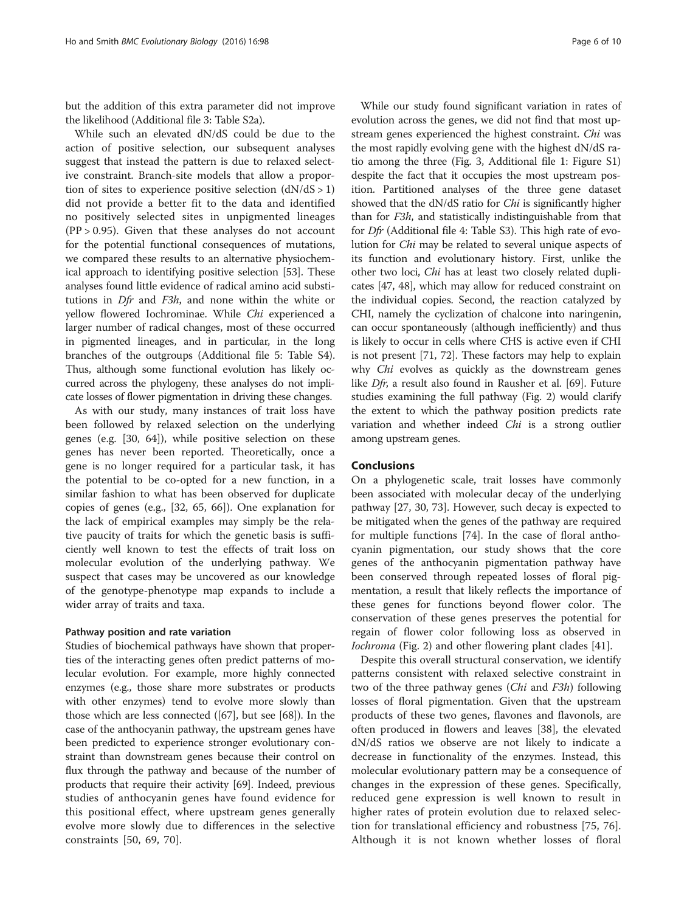but the addition of this extra parameter did not improve the likelihood (Additional file 3: Table S2a).

While such an elevated dN/dS could be due to the action of positive selection, our subsequent analyses suggest that instead the pattern is due to relaxed selective constraint. Branch-site models that allow a proportion of sites to experience positive selection  $(dN/dS > 1)$ did not provide a better fit to the data and identified no positively selected sites in unpigmented lineages  $(PP > 0.95)$ . Given that these analyses do not account for the potential functional consequences of mutations, we compared these results to an alternative physiochemical approach to identifying positive selection [53]. These analyses found little evidence of radical amino acid substitutions in Dfr and F3h, and none within the white or yellow flowered Iochrominae. While Chi experienced a larger number of radical changes, most of these occurred in pigmented lineages, and in particular, in the long branches of the outgroups (Additional file 5: Table S4). Thus, although some functional evolution has likely occurred across the phylogeny, these analyses do not implicate losses of flower pigmentation in driving these changes.

As with our study, many instances of trait loss have been followed by relaxed selection on the underlying genes (e.g. [30, 64]), while positive selection on these genes has never been reported. Theoretically, once a gene is no longer required for a particular task, it has the potential to be co-opted for a new function, in a similar fashion to what has been observed for duplicate copies of genes (e.g., [32, 65, 66]). One explanation for the lack of empirical examples may simply be the relative paucity of traits for which the genetic basis is sufficiently well known to test the effects of trait loss on molecular evolution of the underlying pathway. We suspect that cases may be uncovered as our knowledge of the genotype-phenotype map expands to include a wider array of traits and taxa.

#### Pathway position and rate variation

Studies of biochemical pathways have shown that properties of the interacting genes often predict patterns of molecular evolution. For example, more highly connected enzymes (e.g., those share more substrates or products with other enzymes) tend to evolve more slowly than those which are less connected ([67], but see [68]). In the case of the anthocyanin pathway, the upstream genes have been predicted to experience stronger evolutionary constraint than downstream genes because their control on flux through the pathway and because of the number of products that require their activity [69]. Indeed, previous studies of anthocyanin genes have found evidence for this positional effect, where upstream genes generally evolve more slowly due to differences in the selective constraints [50, 69, 70].

While our study found significant variation in rates of evolution across the genes, we did not find that most upstream genes experienced the highest constraint. Chi was the most rapidly evolving gene with the highest dN/dS ratio among the three (Fig. 3, Additional file 1: Figure S1) despite the fact that it occupies the most upstream position. Partitioned analyses of the three gene dataset showed that the dN/dS ratio for *Chi* is significantly higher than for F3h, and statistically indistinguishable from that for Dfr (Additional file 4: Table S3). This high rate of evolution for Chi may be related to several unique aspects of its function and evolutionary history. First, unlike the other two loci, Chi has at least two closely related duplicates [47, 48], which may allow for reduced constraint on the individual copies. Second, the reaction catalyzed by CHI, namely the cyclization of chalcone into naringenin, can occur spontaneously (although inefficiently) and thus is likely to occur in cells where CHS is active even if CHI is not present [71, 72]. These factors may help to explain why *Chi* evolves as quickly as the downstream genes like Dfr, a result also found in Rausher et al. [69]. Future studies examining the full pathway (Fig. 2) would clarify the extent to which the pathway position predicts rate variation and whether indeed Chi is a strong outlier among upstream genes.

#### Conclusions

On a phylogenetic scale, trait losses have commonly been associated with molecular decay of the underlying pathway [27, 30, 73]. However, such decay is expected to be mitigated when the genes of the pathway are required for multiple functions [74]. In the case of floral anthocyanin pigmentation, our study shows that the core genes of the anthocyanin pigmentation pathway have been conserved through repeated losses of floral pigmentation, a result that likely reflects the importance of these genes for functions beyond flower color. The conservation of these genes preserves the potential for regain of flower color following loss as observed in Iochroma (Fig. 2) and other flowering plant clades [41].

Despite this overall structural conservation, we identify patterns consistent with relaxed selective constraint in two of the three pathway genes (*Chi* and *F3h*) following losses of floral pigmentation. Given that the upstream products of these two genes, flavones and flavonols, are often produced in flowers and leaves [38], the elevated dN/dS ratios we observe are not likely to indicate a decrease in functionality of the enzymes. Instead, this molecular evolutionary pattern may be a consequence of changes in the expression of these genes. Specifically, reduced gene expression is well known to result in higher rates of protein evolution due to relaxed selection for translational efficiency and robustness [75, 76]. Although it is not known whether losses of floral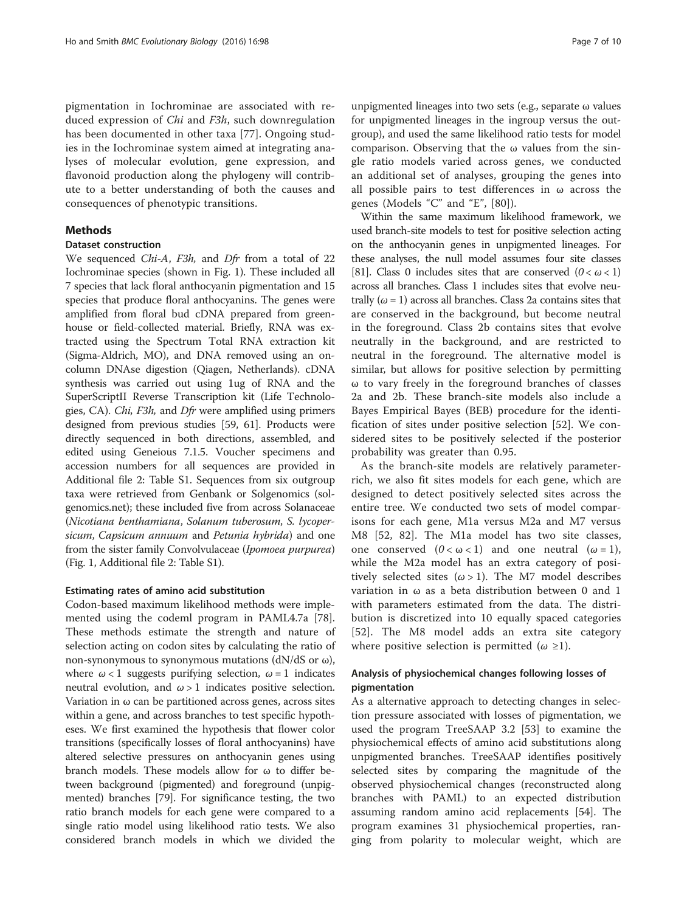pigmentation in Iochrominae are associated with reduced expression of Chi and F3h, such downregulation has been documented in other taxa [77]. Ongoing studies in the Iochrominae system aimed at integrating analyses of molecular evolution, gene expression, and flavonoid production along the phylogeny will contribute to a better understanding of both the causes and consequences of phenotypic transitions.

#### Methods

#### Dataset construction

We sequenced *Chi-A*, *F3h*, and *Dfr* from a total of 22 Iochrominae species (shown in Fig. 1). These included all 7 species that lack floral anthocyanin pigmentation and 15 species that produce floral anthocyanins. The genes were amplified from floral bud cDNA prepared from greenhouse or field-collected material. Briefly, RNA was extracted using the Spectrum Total RNA extraction kit (Sigma-Aldrich, MO), and DNA removed using an oncolumn DNAse digestion (Qiagen, Netherlands). cDNA synthesis was carried out using 1ug of RNA and the SuperScriptII Reverse Transcription kit (Life Technologies, CA). Chi, F3h, and Dfr were amplified using primers designed from previous studies [59, 61]. Products were directly sequenced in both directions, assembled, and edited using Geneious 7.1.5. Voucher specimens and accession numbers for all sequences are provided in Additional file 2: Table S1. Sequences from six outgroup taxa were retrieved from Genbank or Solgenomics (solgenomics.net); these included five from across Solanaceae (Nicotiana benthamiana, Solanum tuberosum, S. lycopersicum, Capsicum annuum and Petunia hybrida) and one from the sister family Convolvulaceae (Ipomoea purpurea) (Fig. 1, Additional file 2: Table S1).

#### Estimating rates of amino acid substitution

Codon-based maximum likelihood methods were implemented using the codeml program in PAML4.7a [78]. These methods estimate the strength and nature of selection acting on codon sites by calculating the ratio of non-synonymous to synonymous mutations (dN/dS or ω), where  $\omega$  < 1 suggests purifying selection,  $\omega$  = 1 indicates neutral evolution, and  $\omega > 1$  indicates positive selection. Variation in  $\omega$  can be partitioned across genes, across sites within a gene, and across branches to test specific hypotheses. We first examined the hypothesis that flower color transitions (specifically losses of floral anthocyanins) have altered selective pressures on anthocyanin genes using branch models. These models allow for  $\omega$  to differ between background (pigmented) and foreground (unpigmented) branches [79]. For significance testing, the two ratio branch models for each gene were compared to a single ratio model using likelihood ratio tests. We also considered branch models in which we divided the

unpigmented lineages into two sets (e.g., separate ω values for unpigmented lineages in the ingroup versus the outgroup), and used the same likelihood ratio tests for model comparison. Observing that the  $\omega$  values from the single ratio models varied across genes, we conducted an additional set of analyses, grouping the genes into all possible pairs to test differences in ω across the genes (Models "C" and "E", [80]).

Within the same maximum likelihood framework, we used branch-site models to test for positive selection acting on the anthocyanin genes in unpigmented lineages. For these analyses, the null model assumes four site classes [81]. Class 0 includes sites that are conserved  $(0 < \omega < 1)$ across all branches. Class 1 includes sites that evolve neutrally ( $\omega = 1$ ) across all branches. Class 2a contains sites that are conserved in the background, but become neutral in the foreground. Class 2b contains sites that evolve neutrally in the background, and are restricted to neutral in the foreground. The alternative model is similar, but allows for positive selection by permitting ω to vary freely in the foreground branches of classes 2a and 2b. These branch-site models also include a Bayes Empirical Bayes (BEB) procedure for the identification of sites under positive selection [52]. We considered sites to be positively selected if the posterior probability was greater than 0.95.

As the branch-site models are relatively parameterrich, we also fit sites models for each gene, which are designed to detect positively selected sites across the entire tree. We conducted two sets of model comparisons for each gene, M1a versus M2a and M7 versus M8 [52, 82]. The M1a model has two site classes, one conserved  $(0 < \omega < 1)$  and one neutral  $(\omega = 1)$ , while the M2a model has an extra category of positively selected sites ( $\omega > 1$ ). The M7 model describes variation in ω as a beta distribution between 0 and 1 with parameters estimated from the data. The distribution is discretized into 10 equally spaced categories [52]. The M8 model adds an extra site category where positive selection is permitted ( $\omega \geq 1$ ).

### Analysis of physiochemical changes following losses of pigmentation

As a alternative approach to detecting changes in selection pressure associated with losses of pigmentation, we used the program TreeSAAP 3.2 [53] to examine the physiochemical effects of amino acid substitutions along unpigmented branches. TreeSAAP identifies positively selected sites by comparing the magnitude of the observed physiochemical changes (reconstructed along branches with PAML) to an expected distribution assuming random amino acid replacements [54]. The program examines 31 physiochemical properties, ranging from polarity to molecular weight, which are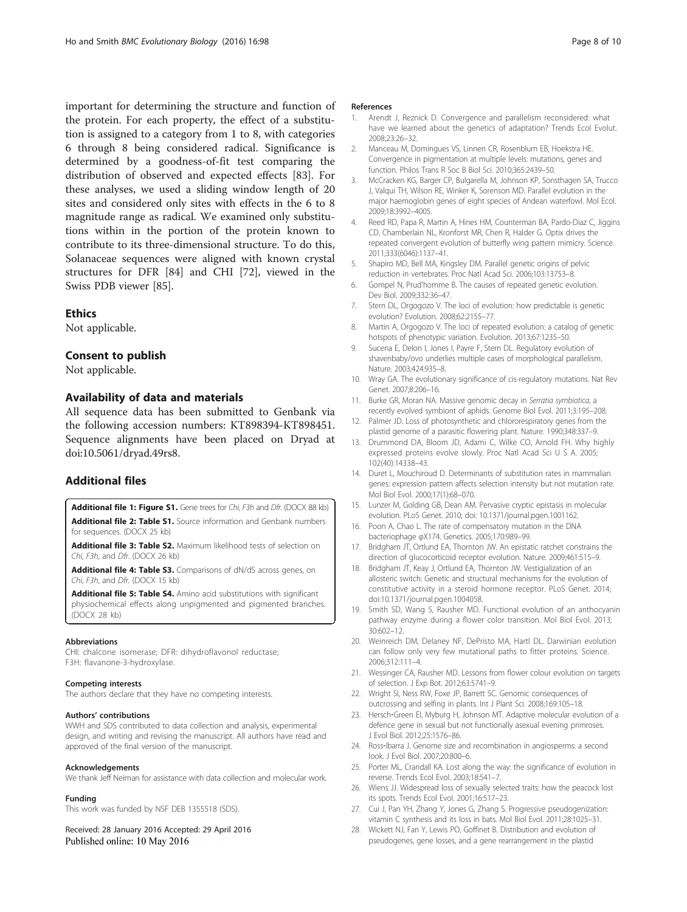important for determining the structure and function of the protein. For each property, the effect of a substitution is assigned to a category from 1 to 8, with categories 6 through 8 being considered radical. Significance is determined by a goodness-of-fit test comparing the distribution of observed and expected effects [83]. For these analyses, we used a sliding window length of 20 sites and considered only sites with effects in the 6 to 8 magnitude range as radical. We examined only substitutions within in the portion of the protein known to contribute to its three-dimensional structure. To do this, Solanaceae sequences were aligned with known crystal structures for DFR [84] and CHI [72], viewed in the Swiss PDB viewer [85].

#### **Ethics**

Not applicable.

#### Consent to publish

Not applicable.

#### Availability of data and materials

All sequence data has been submitted to Genbank via the following accession numbers: KT898394-KT898451. Sequence alignments have been placed on Dryad at doi:[10.5061/dryad.49rs8](http://dx.doi.org/10.5061/dryad.49rs8).

## Additional files

[Additional file 1: Figure S1.](dx.doi.org/10.1186/s12862-016-0675-3) Gene trees for Chi, F3h and Dfr. (DOCX 88 kb) [Additional file 2: Table S1.](dx.doi.org/10.1186/s12862-016-0675-3) Source information and Genbank numbers for sequences. (DOCX 25 kb)

[Additional file 3: Table S2.](dx.doi.org/10.1186/s12862-016-0675-3) Maximum likelihood tests of selection on Chi, F3h, and Dfr. (DOCX 26 kb)

[Additional file 4: Table S3.](dx.doi.org/10.1186/s12862-016-0675-3) Comparisons of dN/dS across genes, on Chi, F3h, and Dfr. (DOCX 15 kb)

[Additional file 5: Table S4.](dx.doi.org/10.1186/s12862-016-0675-3) Amino acid substitutions with significant physiochemical effects along unpigmented and pigmented branches. (DOCX 28 kb)

#### Abbreviations

CHI: chalcone isomerase; DFR: dihydroflavonol reductase; F3H: flavanone-3-hydroxylase.

#### Competing interests

The authors declare that they have no competing interests.

#### Authors' contributions

WWH and SDS contributed to data collection and analysis, experimental design, and writing and revising the manuscript. All authors have read and approved of the final version of the manuscript.

#### Acknowledgements

We thank Jeff Neiman for assistance with data collection and molecular work.

#### Funding

This work was funded by NSF DEB 1355518 (SDS).

Received: 28 January 2016 Accepted: 29 April 2016 Published online: 10 May 2016

#### References

- 1. Arendt J, Reznick D. Convergence and parallelism reconsidered: what have we learned about the genetics of adaptation? Trends Ecol Evolut. 2008;23:26–32.
- 2. Manceau M, Domingues VS, Linnen CR, Rosenblum EB, Hoekstra HE. Convergence in pigmentation at multiple levels: mutations, genes and function. Philos Trans R Soc B Biol Sci. 2010;365:2439–50.
- 3. McCracken KG, Barger CP, Bulgarella M, Johnson KP, Sonsthagen SA, Trucco J, Valqui TH, Wilson RE, Winker K, Sorenson MD. Parallel evolution in the major haemoglobin genes of eight species of Andean waterfowl. Mol Ecol. 2009;18:3992–4005.
- 4. Reed RD, Papa R, Martin A, Hines HM, Counterman BA, Pardo-Diaz C, Jiggins CD, Chamberlain NL, Kronforst MR, Chen R, Halder G. Optix drives the repeated convergent evolution of butterfly wing pattern mimicry. Science. 2011;333(6046):1137–41.
- 5. Shapiro MD, Bell MA, Kingsley DM. Parallel genetic origins of pelvic reduction in vertebrates. Proc Natl Acad Sci. 2006;103:13753–8.
- 6. Gompel N, Prud'homme B. The causes of repeated genetic evolution. Dev Biol. 2009;332:36–47.
- 7. Stern DL, Orgogozo V. The loci of evolution: how predictable is genetic evolution? Evolution. 2008;62:2155–77.
- 8. Martin A, Orgogozo V. The loci of repeated evolution: a catalog of genetic hotspots of phenotypic variation. Evolution. 2013;67:1235–50.
- 9. Sucena E, Delon I, Jones I, Payre F, Stern DL. Regulatory evolution of shavenbaby/ovo underlies multiple cases of morphological parallelism. Nature. 2003;424:935–8.
- 10. Wray GA. The evolutionary significance of cis-regulatory mutations. Nat Rev Genet. 2007;8:206–16.
- 11. Burke GR, Moran NA. Massive genomic decay in Serratia symbiotica, a recently evolved symbiont of aphids. Genome Biol Evol. 2011;3:195–208.
- 12. Palmer JD. Loss of photosynthetic and chlororespiratory genes from the plastid genome of a parasitic flowering plant. Nature. 1990;348:337–9.
- 13. Drummond DA, Bloom JD, Adami C, Wilke CO, Arnold FH. Why highly expressed proteins evolve slowly. Proc Natl Acad Sci U S A. 2005; 102(40):14338–43.
- 14. Duret L, Mouchiroud D. Determinants of substitution rates in mammalian genes: expression pattern affects selection intensity but not mutation rate. Mol Biol Evol. 2000;17(1):68–070.
- 15. Lunzer M, Golding GB, Dean AM. Pervasive cryptic epistasis in molecular evolution. PLoS Genet. 2010; doi: [10.1371/journal.pgen.1001162](http://dx.doi.org/10.1371/journal.pgen.1001162).
- 16. Poon A, Chao L. The rate of compensatory mutation in the DNA bacteriophage φX174. Genetics. 2005;170:989–99.
- 17. Bridgham JT, Ortlund EA, Thornton JW. An epistatic ratchet constrains the direction of glucocorticoid receptor evolution. Nature. 2009;461:515–9.
- 18. Bridgham JT, Keay J, Ortlund EA, Thornton JW. Vestigialization of an allosteric switch: Genetic and structural mechanisms for the evolution of constitutive activity in a steroid hormone receptor. PLoS Genet. 2014; doi[:10.1371/journal.pgen.1004058.](http://dx.doi.org/10.1371/journal.pgen.1004058)
- 19. Smith SD, Wang S, Rausher MD. Functional evolution of an anthocyanin pathway enzyme during a flower color transition. Mol Biol Evol. 2013; 30:602–12.
- 20. Weinreich DM, Delaney NF, DePristo MA, Hartl DL. Darwinian evolution can follow only very few mutational paths to fitter proteins. Science. 2006;312:111–4.
- 21. Wessinger CA, Rausher MD. Lessons from flower colour evolution on targets of selection. J Exp Bot. 2012;63:5741–9.
- 22. Wright SI, Ness RW, Foxe JP, Barrett SC. Genomic consequences of outcrossing and selfing in plants. Int J Plant Sci. 2008;169:105–18.
- 23. Hersch-Green EI, Myburg H, Johnson MT. Adaptive molecular evolution of a defence gene in sexual but not functionally asexual evening primroses. J Evol Biol. 2012;25:1576–86.
- 24. Ross-Ibarra J. Genome size and recombination in angiosperms: a second look. J Evol Biol. 2007;20:800–6.
- 25. Porter ML, Crandall KA. Lost along the way: the significance of evolution in reverse. Trends Ecol Evol. 2003;18:541–7.
- 26. Wiens JJ. Widespread loss of sexually selected traits: how the peacock lost its spots. Trends Ecol Evol. 2001;16:517–23.
- 27. Cui J, Pan YH, Zhang Y, Jones G, Zhang S. Progressive pseudogenization: vitamin C synthesis and its loss in bats. Mol Biol Evol. 2011;28:1025–31.
- 28. Wickett NJ, Fan Y, Lewis PO, Goffinet B. Distribution and evolution of pseudogenes, gene losses, and a gene rearrangement in the plastid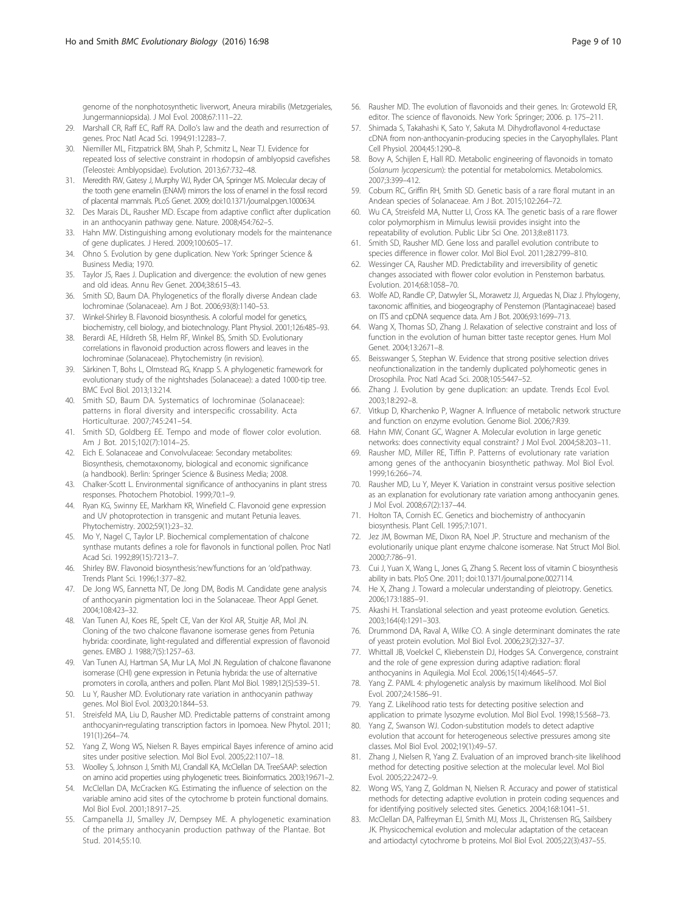genome of the nonphotosynthetic liverwort, Aneura mirabilis (Metzgeriales, Jungermanniopsida). J Mol Evol. 2008;67:111–22.

- 29. Marshall CR, Raff EC, Raff RA. Dollo's law and the death and resurrection of genes. Proc Natl Acad Sci. 1994;91:12283–7.
- 30. Niemiller ML, Fitzpatrick BM, Shah P, Schmitz L, Near TJ. Evidence for repeated loss of selective constraint in rhodopsin of amblyopsid cavefishes (Teleostei: Amblyopsidae). Evolution. 2013;67:732–48.
- 31. Meredith RW, Gatesy J, Murphy WJ, Ryder OA, Springer MS. Molecular decay of the tooth gene enamelin (ENAM) mirrors the loss of enamel in the fossil record of placental mammals. PLoS Genet. 2009; doi[:10.1371/journal.pgen.1000634](http://dx.doi.org/10.1371/journal.pgen.1000634).
- 32. Des Marais DL, Rausher MD. Escape from adaptive conflict after duplication in an anthocyanin pathway gene. Nature. 2008;454:762–5.
- 33. Hahn MW. Distinguishing among evolutionary models for the maintenance of gene duplicates. J Hered. 2009;100:605–17.
- 34. Ohno S. Evolution by gene duplication. New York: Springer Science & Business Media; 1970.
- 35. Taylor JS, Raes J. Duplication and divergence: the evolution of new genes and old ideas. Annu Rev Genet. 2004;38:615–43.
- 36. Smith SD, Baum DA. Phylogenetics of the florally diverse Andean clade Iochrominae (Solanaceae). Am J Bot. 2006;93(8):1140–53.
- 37. Winkel-Shirley B. Flavonoid biosynthesis. A colorful model for genetics, biochemistry, cell biology, and biotechnology. Plant Physiol. 2001;126:485–93.
- 38. Berardi AE, Hildreth SB, Helm RF, Winkel BS, Smith SD. Evolutionary correlations in flavonoid production across flowers and leaves in the Iochrominae (Solanaceae). Phytochemistry (in revision).
- 39. Särkinen T, Bohs L, Olmstead RG, Knapp S. A phylogenetic framework for evolutionary study of the nightshades (Solanaceae): a dated 1000-tip tree. BMC Evol Biol. 2013;13:214.
- 40. Smith SD, Baum DA. Systematics of Iochrominae (Solanaceae): patterns in floral diversity and interspecific crossability. Acta Horticulturae. 2007;745:241–54.
- 41. Smith SD, Goldberg EE. Tempo and mode of flower color evolution. Am J Bot. 2015;102(7):1014–25.
- 42. Eich E. Solanaceae and Convolvulaceae: Secondary metabolites: Biosynthesis, chemotaxonomy, biological and economic significance (a handbook). Berlin: Springer Science & Business Media; 2008.
- 43. Chalker-Scott L. Environmental significance of anthocyanins in plant stress responses. Photochem Photobiol. 1999;70:1–9.
- 44. Ryan KG, Swinny EE, Markham KR, Winefield C. Flavonoid gene expression and UV photoprotection in transgenic and mutant Petunia leaves. Phytochemistry. 2002;59(1):23–32.
- 45. Mo Y, Nagel C, Taylor LP. Biochemical complementation of chalcone synthase mutants defines a role for flavonols in functional pollen. Proc Natl Acad Sci. 1992;89(15):7213–7.
- 46. Shirley BW. Flavonoid biosynthesis:'new'functions for an 'old'pathway. Trends Plant Sci. 1996;1:377–82.
- 47. De Jong WS, Eannetta NT, De Jong DM, Bodis M. Candidate gene analysis of anthocyanin pigmentation loci in the Solanaceae. Theor Appl Genet. 2004;108:423–32.
- 48. Van Tunen AJ, Koes RE, Spelt CE, Van der Krol AR, Stuitje AR, Mol JN. Cloning of the two chalcone flavanone isomerase genes from Petunia hybrida: coordinate, light-regulated and differential expression of flavonoid genes. EMBO J. 1988;7(5):1257–63.
- 49. Van Tunen AJ, Hartman SA, Mur LA, Mol JN. Regulation of chalcone flavanone isomerase (CHI) gene expression in Petunia hybrida: the use of alternative promoters in corolla, anthers and pollen. Plant Mol Biol. 1989;12(5):539–51.
- 50. Lu Y, Rausher MD. Evolutionary rate variation in anthocyanin pathway genes. Mol Biol Evol. 2003;20:1844–53.
- 51. Streisfeld MA, Liu D, Rausher MD. Predictable patterns of constraint among anthocyanin-regulating transcription factors in Ipomoea. New Phytol. 2011; 191(1):264–74.
- 52. Yang Z, Wong WS, Nielsen R. Bayes empirical Bayes inference of amino acid sites under positive selection. Mol Biol Evol. 2005;22:1107–18.
- 53. Woolley S, Johnson J, Smith MJ, Crandall KA, McClellan DA. TreeSAAP: selection on amino acid properties using phylogenetic trees. Bioinformatics. 2003;19:671–2.
- 54. McClellan DA, McCracken KG. Estimating the influence of selection on the variable amino acid sites of the cytochrome b protein functional domains. Mol Biol Evol. 2001;18:917–25.
- 55. Campanella JJ, Smalley JV, Dempsey ME. A phylogenetic examination of the primary anthocyanin production pathway of the Plantae. Bot Stud. 2014;55:10.
- 56. Rausher MD. The evolution of flavonoids and their genes. In: Grotewold ER, editor. The science of flavonoids. New York: Springer; 2006. p. 175–211.
- 57. Shimada S, Takahashi K, Sato Y, Sakuta M. Dihydroflavonol 4-reductase cDNA from non-anthocyanin-producing species in the Caryophyllales. Plant Cell Physiol. 2004;45:1290–8.
- 58. Bovy A, Schijlen E, Hall RD. Metabolic engineering of flavonoids in tomato (Solanum lycopersicum): the potential for metabolomics. Metabolomics. 2007;3:399–412.
- 59. Coburn RC, Griffin RH, Smith SD. Genetic basis of a rare floral mutant in an Andean species of Solanaceae. Am J Bot. 2015;102:264–72.
- 60. Wu CA, Streisfeld MA, Nutter LI, Cross KA. The genetic basis of a rare flower color polymorphism in Mimulus lewisii provides insight into the repeatability of evolution. Public Libr Sci One. 2013;8:e81173.
- 61. Smith SD, Rausher MD. Gene loss and parallel evolution contribute to species difference in flower color. Mol Biol Evol. 2011;28:2799–810.
- 62. Wessinger CA, Rausher MD. Predictability and irreversibility of genetic changes associated with flower color evolution in Penstemon barbatus. Evolution. 2014;68:1058–70.
- 63. Wolfe AD, Randle CP, Datwyler SL, Morawetz JJ, Arguedas N, Diaz J. Phylogeny, taxonomic affinities, and biogeography of Penstemon (Plantaginaceae) based on ITS and cpDNA sequence data. Am J Bot. 2006;93:1699–713.
- Wang X, Thomas SD, Zhang J. Relaxation of selective constraint and loss of function in the evolution of human bitter taste receptor genes. Hum Mol Genet. 2004;13:2671–8.
- 65. Beisswanger S, Stephan W. Evidence that strong positive selection drives neofunctionalization in the tandemly duplicated polyhomeotic genes in Drosophila. Proc Natl Acad Sci. 2008;105:5447–52.
- 66. Zhang J. Evolution by gene duplication: an update. Trends Ecol Evol. 2003;18:292–8.
- 67. Vitkup D, Kharchenko P, Wagner A. Influence of metabolic network structure and function on enzyme evolution. Genome Biol. 2006;7:R39.
- 68. Hahn MW, Conant GC, Wagner A. Molecular evolution in large genetic networks: does connectivity equal constraint? J Mol Evol. 2004;58:203–11.
- 69. Rausher MD, Miller RE, Tiffin P. Patterns of evolutionary rate variation among genes of the anthocyanin biosynthetic pathway. Mol Biol Evol. 1999;16:266–74.
- 70. Rausher MD, Lu Y, Meyer K. Variation in constraint versus positive selection as an explanation for evolutionary rate variation among anthocyanin genes. J Mol Evol. 2008;67(2):137–44.
- 71. Holton TA, Cornish EC. Genetics and biochemistry of anthocyanin biosynthesis. Plant Cell. 1995;7:1071.
- 72. Jez JM, Bowman ME, Dixon RA, Noel JP. Structure and mechanism of the evolutionarily unique plant enzyme chalcone isomerase. Nat Struct Mol Biol. 2000;7:786–91.
- 73. Cui J, Yuan X, Wang L, Jones G, Zhang S. Recent loss of vitamin C biosynthesis ability in bats. PloS One. 2011; doi:[10.1371/journal.pone.0027114](http://dx.doi.org/10.1371/journal.pone.0027114).
- He X, Zhang J. Toward a molecular understanding of pleiotropy. Genetics. 2006;173:1885–91.
- 75. Akashi H. Translational selection and yeast proteome evolution. Genetics. 2003;164(4):1291–303.
- 76. Drummond DA, Raval A, Wilke CO. A single determinant dominates the rate of yeast protein evolution. Mol Biol Evol. 2006;23(2):327–37.
- 77. Whittall JB, Voelckel C, Kliebenstein DJ, Hodges SA. Convergence, constraint and the role of gene expression during adaptive radiation: floral anthocyanins in Aquilegia. Mol Ecol. 2006;15(14):4645–57.
- 78. Yang Z. PAML 4: phylogenetic analysis by maximum likelihood. Mol Biol Evol. 2007;24:1586–91.
- 79. Yang Z. Likelihood ratio tests for detecting positive selection and application to primate lysozyme evolution. Mol Biol Evol. 1998;15:568–73.
- 80. Yang Z, Swanson WJ. Codon-substitution models to detect adaptive evolution that account for heterogeneous selective pressures among site classes. Mol Biol Evol. 2002;19(1):49–57.
- 81. Zhang J, Nielsen R, Yang Z. Evaluation of an improved branch-site likelihood method for detecting positive selection at the molecular level. Mol Biol Evol. 2005;22:2472–9.
- 82. Wong WS, Yang Z, Goldman N, Nielsen R. Accuracy and power of statistical methods for detecting adaptive evolution in protein coding sequences and for identifying positively selected sites. Genetics. 2004;168:1041–51.
- 83. McClellan DA, Palfreyman EJ, Smith MJ, Moss JL, Christensen RG, Sailsbery JK. Physicochemical evolution and molecular adaptation of the cetacean and artiodactyl cytochrome b proteins. Mol Biol Evol. 2005;22(3):437–55.